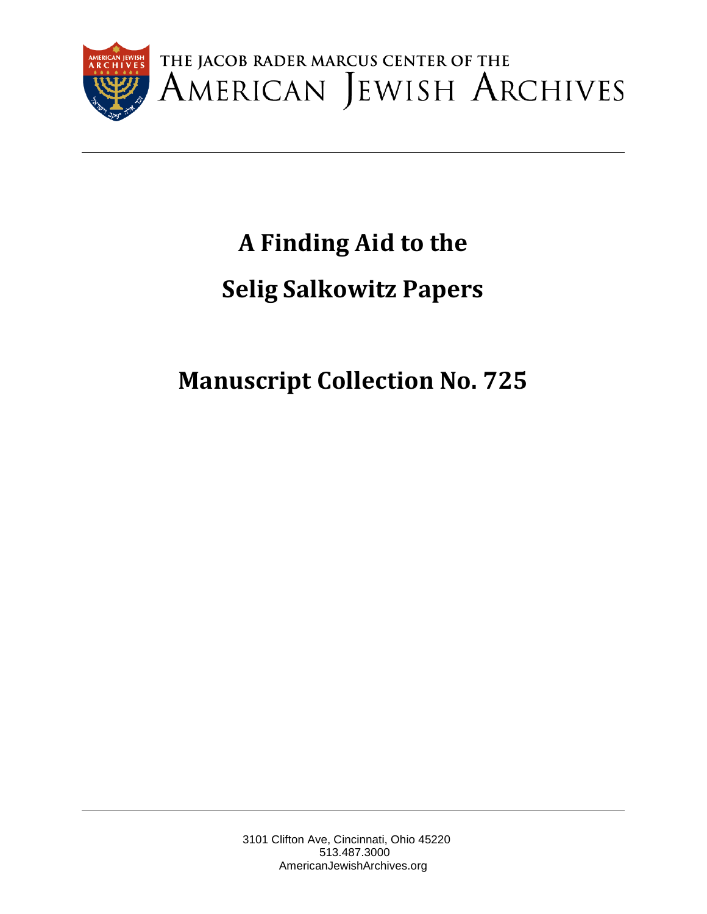

# **A Finding Aid to the Selig Salkowitz Papers**

**Manuscript Collection No. 725**

3101 Clifton Ave, Cincinnati, Ohio 45220 513.487.3000 AmericanJewishArchives.org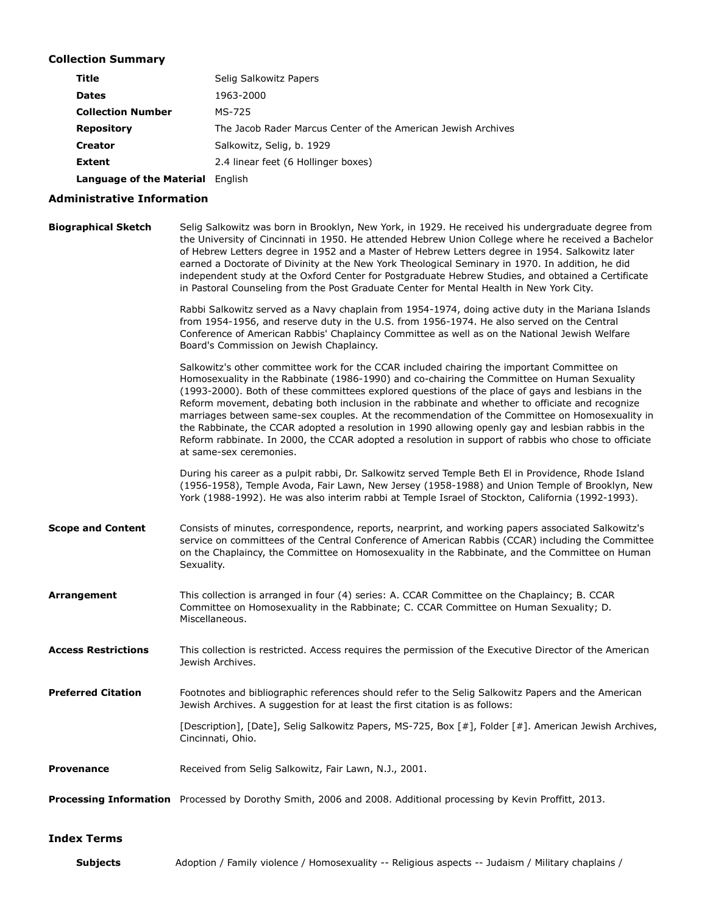#### Collection Summary

| Title                                   | Selig Salkowitz Papers                                        |
|-----------------------------------------|---------------------------------------------------------------|
| <b>Dates</b>                            | 1963-2000                                                     |
| <b>Collection Number</b>                | MS-725                                                        |
| <b>Repository</b>                       | The Jacob Rader Marcus Center of the American Jewish Archives |
| <b>Creator</b>                          | Salkowitz, Selig, b. 1929                                     |
| <b>Extent</b>                           | 2.4 linear feet (6 Hollinger boxes)                           |
| <b>Language of the Material English</b> |                                                               |

#### Administrative Information

Biographical Sketch Selig Salkowitz was born in Brooklyn, New York, in 1929. He received his undergraduate degree from the University of Cincinnati in 1950. He attended Hebrew Union College where he received a Bachelor of Hebrew Letters degree in 1952 and a Master of Hebrew Letters degree in 1954. Salkowitz later earned a Doctorate of Divinity at the New York Theological Seminary in 1970. In addition, he did independent study at the Oxford Center for Postgraduate Hebrew Studies, and obtained a Certificate in Pastoral Counseling from the Post Graduate Center for Mental Health in New York City.

> Rabbi Salkowitz served as a Navy chaplain from 1954-1974, doing active duty in the Mariana Islands from 1954-1956, and reserve duty in the U.S. from 1956-1974. He also served on the Central Conference of American Rabbis' Chaplaincy Committee as well as on the National Jewish Welfare Board's Commission on Jewish Chaplaincy.

> Salkowitz's other committee work for the CCAR included chairing the important Committee on Homosexuality in the Rabbinate (1986-1990) and co-chairing the Committee on Human Sexuality (1993-2000). Both of these committees explored questions of the place of gays and lesbians in the Reform movement, debating both inclusion in the rabbinate and whether to officiate and recognize marriages between same-sex couples. At the recommendation of the Committee on Homosexuality in the Rabbinate, the CCAR adopted a resolution in 1990 allowing openly gay and lesbian rabbis in the Reform rabbinate. In 2000, the CCAR adopted a resolution in support of rabbis who chose to officiate at same-sex ceremonies.

> During his career as a pulpit rabbi, Dr. Salkowitz served Temple Beth El in Providence, Rhode Island (1956-1958), Temple Avoda, Fair Lawn, New Jersey (1958-1988) and Union Temple of Brooklyn, New York (1988-1992). He was also interim rabbi at Temple Israel of Stockton, California (1992-1993).

Scope and Content Consists of minutes, correspondence, reports, nearprint, and working papers associated Salkowitz's service on committees of the Central Conference of American Rabbis (CCAR) including the Committee on the Chaplaincy, the Committee on Homosexuality in the Rabbinate, and the Committee on Human Sexuality.

Arrangement This collection is arranged in four (4) series: A. CCAR Committee on the Chaplaincy; B. CCAR Committee on Homosexuality in the Rabbinate; C. CCAR Committee on Human Sexuality; D. Miscellaneous.

Access Restrictions This collection is restricted. Access requires the permission of the Executive Director of the American Jewish Archives.

Preferred Citation Footnotes and bibliographic references should refer to the Selig Salkowitz Papers and the American Jewish Archives. A suggestion for at least the first citation is as follows:

> [Description], [Date], Selig Salkowitz Papers, MS-725, Box [#], Folder [#]. American Jewish Archives, Cincinnati, Ohio.

Provenance Received from Selig Salkowitz, Fair Lawn, N.J., 2001.

Processing Information Processed by Dorothy Smith, 2006 and 2008. Additional processing by Kevin Proffitt, 2013.

#### Index Terms

Subjects Adoption / Family violence / Homosexuality -- Religious aspects -- Judaism / Military chaplains /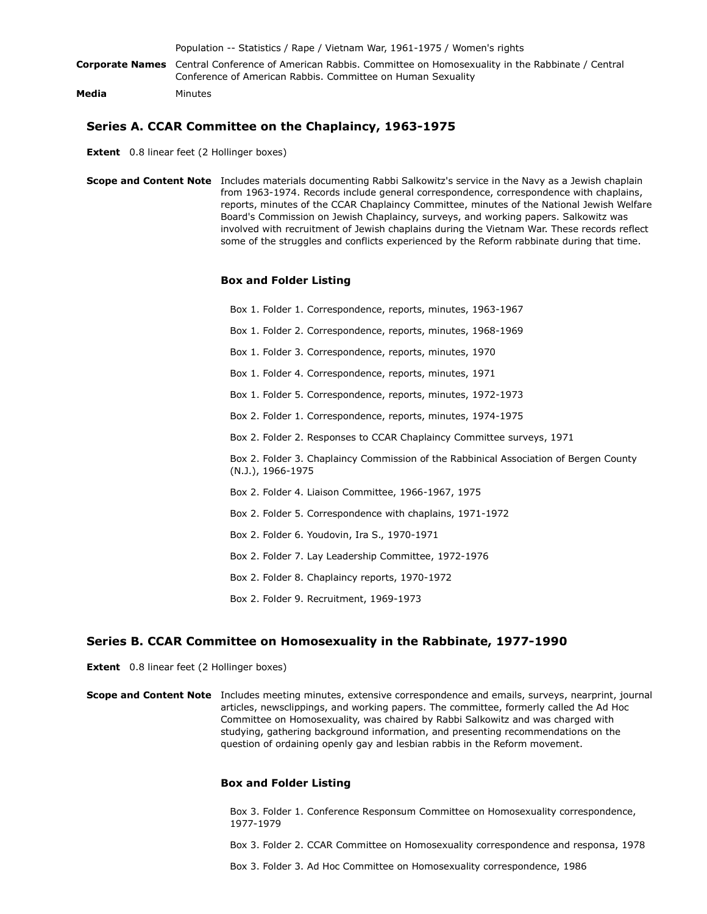|       | Population -- Statistics / Rape / Vietnam War, 1961-1975 / Women's rights                                                                                                          |
|-------|------------------------------------------------------------------------------------------------------------------------------------------------------------------------------------|
|       | <b>Corporate Names</b> Central Conference of American Rabbis. Committee on Homosexuality in the Rabbinate / Central<br>Conference of American Rabbis. Committee on Human Sexuality |
| Media | Minutes                                                                                                                                                                            |

#### Series A. CCAR Committee on the Chaplaincy, 1963-1975

Extent 0.8 linear feet (2 Hollinger boxes)

Scope and Content Note Includes materials documenting Rabbi Salkowitz's service in the Navy as a Jewish chaplain from 1963-1974. Records include general correspondence, correspondence with chaplains, reports, minutes of the CCAR Chaplaincy Committee, minutes of the National Jewish Welfare Board's Commission on Jewish Chaplaincy, surveys, and working papers. Salkowitz was involved with recruitment of Jewish chaplains during the Vietnam War. These records reflect some of the struggles and conflicts experienced by the Reform rabbinate during that time.

#### Box and Folder Listing

Box 1. Folder 1. Correspondence, reports, minutes, 1963-1967 Box 1. Folder 2. Correspondence, reports, minutes, 1968-1969 Box 1. Folder 3. Correspondence, reports, minutes, 1970 Box 1. Folder 4. Correspondence, reports, minutes, 1971 Box 1. Folder 5. Correspondence, reports, minutes, 1972-1973 Box 2. Folder 1. Correspondence, reports, minutes, 1974-1975 Box 2. Folder 2. Responses to CCAR Chaplaincy Committee surveys, 1971 Box 2. Folder 3. Chaplaincy Commission of the Rabbinical Association of Bergen County (N.J.), 1966-1975 Box 2. Folder 4. Liaison Committee, 1966-1967, 1975 Box 2. Folder 5. Correspondence with chaplains, 1971-1972 Box 2. Folder 6. Youdovin, Ira S., 1970-1971 Box 2. Folder 7. Lay Leadership Committee, 1972-1976 Box 2. Folder 8. Chaplaincy reports, 1970-1972 Box 2. Folder 9. Recruitment, 1969-1973

#### Series B. CCAR Committee on Homosexuality in the Rabbinate, 1977-1990

**Extent** 0.8 linear feet (2 Hollinger boxes)

Scope and Content Note Includes meeting minutes, extensive correspondence and emails, surveys, nearprint, journal articles, newsclippings, and working papers. The committee, formerly called the Ad Hoc Committee on Homosexuality, was chaired by Rabbi Salkowitz and was charged with studying, gathering background information, and presenting recommendations on the question of ordaining openly gay and lesbian rabbis in the Reform movement.

#### Box and Folder Listing

Box 3. Folder 1. Conference Responsum Committee on Homosexuality correspondence, 1977-1979

Box 3. Folder 2. CCAR Committee on Homosexuality correspondence and responsa, 1978

Box 3. Folder 3. Ad Hoc Committee on Homosexuality correspondence, 1986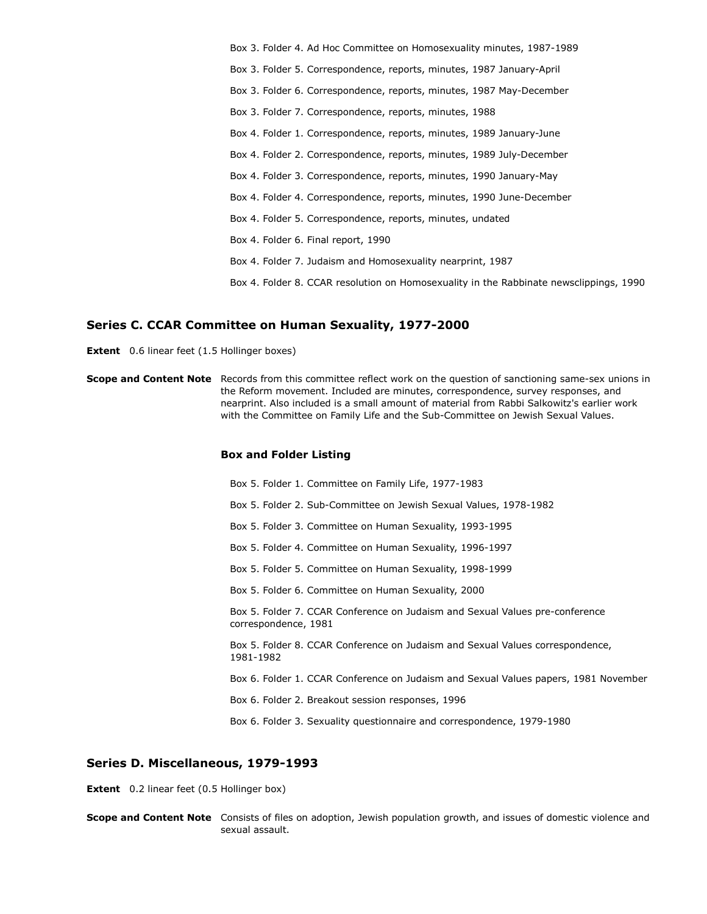Box 3. Folder 4. Ad Hoc Committee on Homosexuality minutes, 1987-1989 Box 3. Folder 5. Correspondence, reports, minutes, 1987 January-April Box 3. Folder 6. Correspondence, reports, minutes, 1987 May-December Box 3. Folder 7. Correspondence, reports, minutes, 1988 Box 4. Folder 1. Correspondence, reports, minutes, 1989 January-June Box 4. Folder 2. Correspondence, reports, minutes, 1989 July-December Box 4. Folder 3. Correspondence, reports, minutes, 1990 January-May Box 4. Folder 4. Correspondence, reports, minutes, 1990 June-December Box 4. Folder 5. Correspondence, reports, minutes, undated Box 4. Folder 6. Final report, 1990 Box 4. Folder 7. Judaism and Homosexuality nearprint, 1987 Box 4. Folder 8. CCAR resolution on Homosexuality in the Rabbinate newsclippings, 1990

#### Series C. CCAR Committee on Human Sexuality, 1977-2000

Extent 0.6 linear feet (1.5 Hollinger boxes)

Scope and Content Note Records from this committee reflect work on the question of sanctioning same-sex unions in the Reform movement. Included are minutes, correspondence, survey responses, and nearprint. Also included is a small amount of material from Rabbi Salkowitz's earlier work with the Committee on Family Life and the Sub-Committee on Jewish Sexual Values.

#### Box and Folder Listing

Box 5. Folder 1. Committee on Family Life, 1977-1983 Box 5. Folder 2. Sub-Committee on Jewish Sexual Values, 1978-1982 Box 5. Folder 3. Committee on Human Sexuality, 1993-1995 Box 5. Folder 4. Committee on Human Sexuality, 1996-1997 Box 5. Folder 5. Committee on Human Sexuality, 1998-1999 Box 5. Folder 6. Committee on Human Sexuality, 2000 Box 5. Folder 7. CCAR Conference on Judaism and Sexual Values pre-conference correspondence, 1981 Box 5. Folder 8. CCAR Conference on Judaism and Sexual Values correspondence, 1981-1982 Box 6. Folder 1. CCAR Conference on Judaism and Sexual Values papers, 1981 November Box 6. Folder 2. Breakout session responses, 1996 Box 6. Folder 3. Sexuality questionnaire and correspondence, 1979-1980

#### Series D. Miscellaneous, 1979-1993

**Extent** 0.2 linear feet (0.5 Hollinger box)

Scope and Content Note Consists of files on adoption, Jewish population growth, and issues of domestic violence and sexual assault.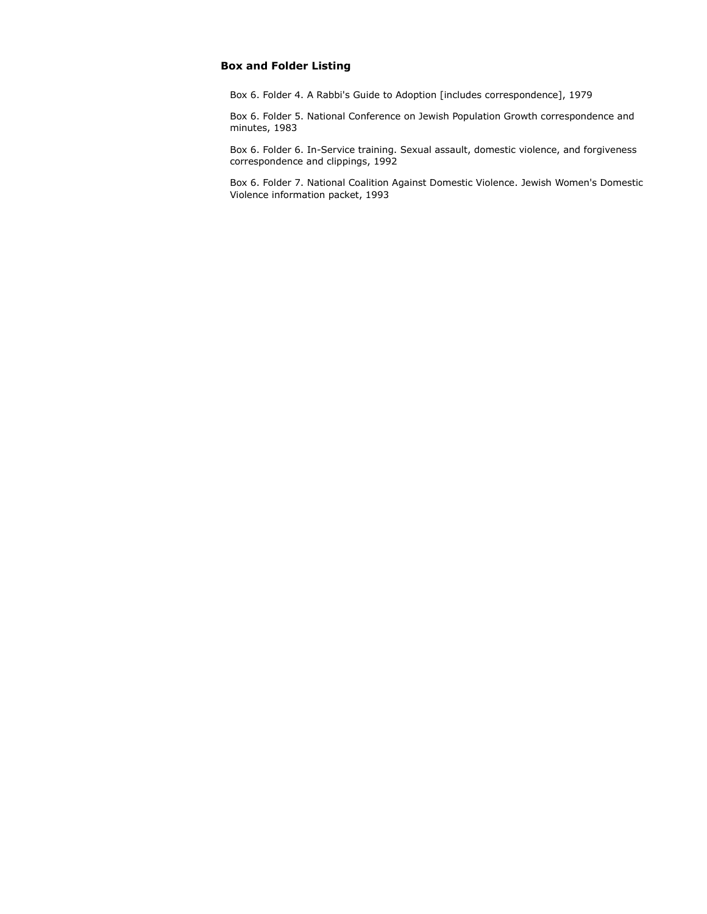#### Box and Folder Listing

Box 6. Folder 4. A Rabbi's Guide to Adoption [includes correspondence], 1979

Box 6. Folder 5. National Conference on Jewish Population Growth correspondence and minutes, 1983

Box 6. Folder 6. In-Service training. Sexual assault, domestic violence, and forgiveness correspondence and clippings, 1992

Box 6. Folder 7. National Coalition Against Domestic Violence. Jewish Women's Domestic Violence information packet, 1993